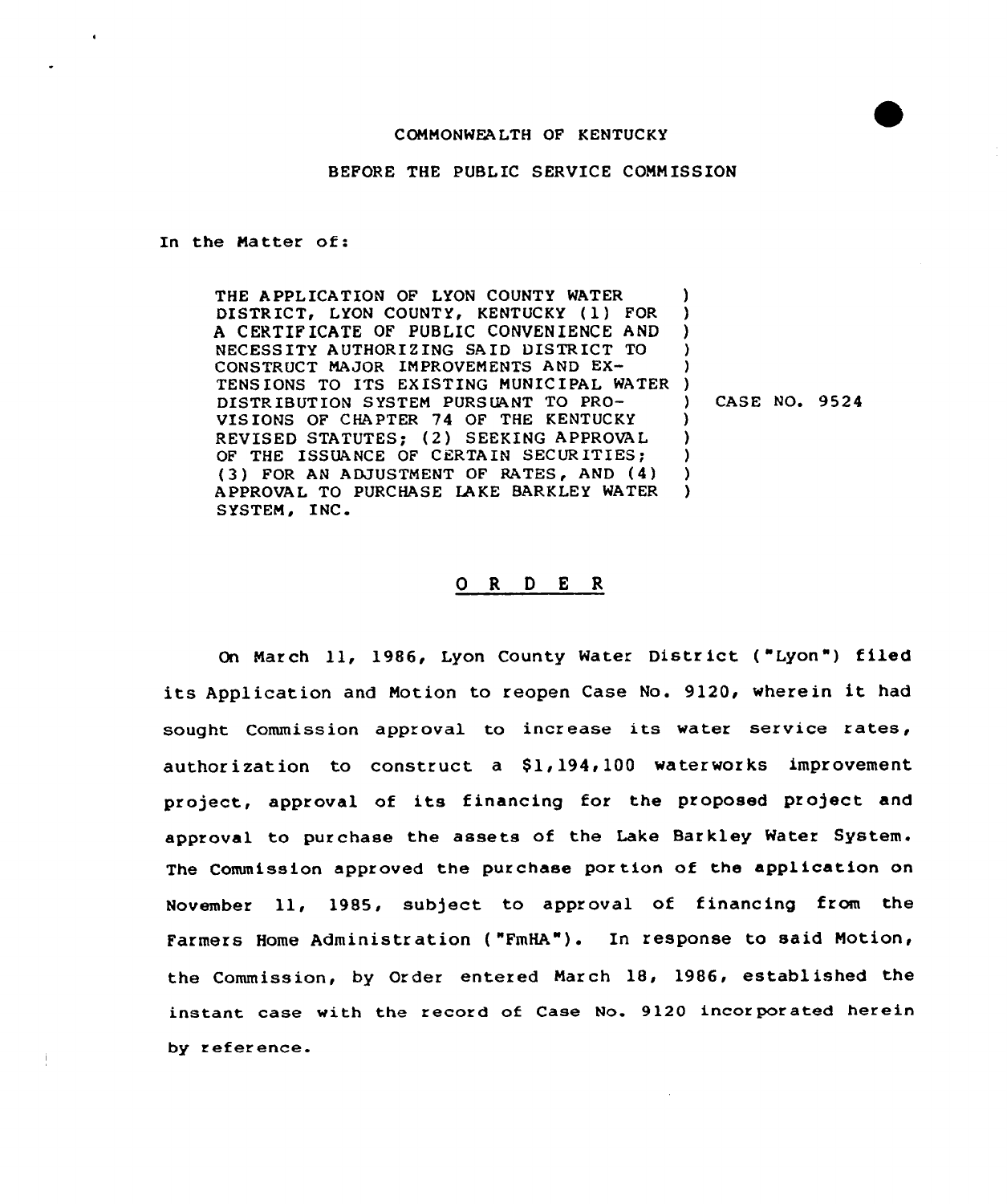#### COMMONWEALTH OF KENTUCKY

BEFORE THE PUBLIC SERVICE CONN ISSION

In the Matter of:

THE APPLICATION OF LYON COUNTY WATER DISTRICT, LYON COUNTY, KENTUCKY (1) FOR A CERTIF ICATE OF PUBLIC CONVENIENCE AND NECESSITY AUTHORIZING SAID DISTRICT TO CONSTRUCT MAJOR IMPROVEMENTS AND EX-CONSTRUCT MAJOR IMPROVEMENTS AND EX-<br>TENSIONS TO ITS EXISTING MUNICIPAL WATER ) DISTR IBUT ION SYSTEM PURS UANT TO PRO-VISIONS OF CHAPTER 74 OF THE KENTUCKY REVISED STATUTES; (2) SEEKING APPROVAL OF THE ISSUANCE OF CERTAIN SECURITIES; (3) FOR AN ADJUSTMENT OF RATES, AND (4) APPROVAL TO PURCHASE LA KE BARKLEY WATER SYSTEM, INC. ) ) ) ) ) ) CASE NO. 9524 ) ) ) ) )

### 0 R <sup>D</sup> E <sup>R</sup>

On March 11, 1986, Lyon County Water District ("Lyon") filed its Application and Notion to reopen Case No. 9120, wherein it had sought Commission approval to increase its water service rates, authorization to construct a  $$1,194,100$  waterworks improvement project, approval of its financing for the proposed project and approval to purchase the assets of the Lake Barkley Water System. The Commission approved the purchase portion of the application on November ll, 1985, subject to approval of financing from the Farmers Home Administration ( "FmHA"). In response to said Notion, the Commission, by Order entered March 18, 1986, established the instant case with the record of Case No. 9120 incorporated herein by reference.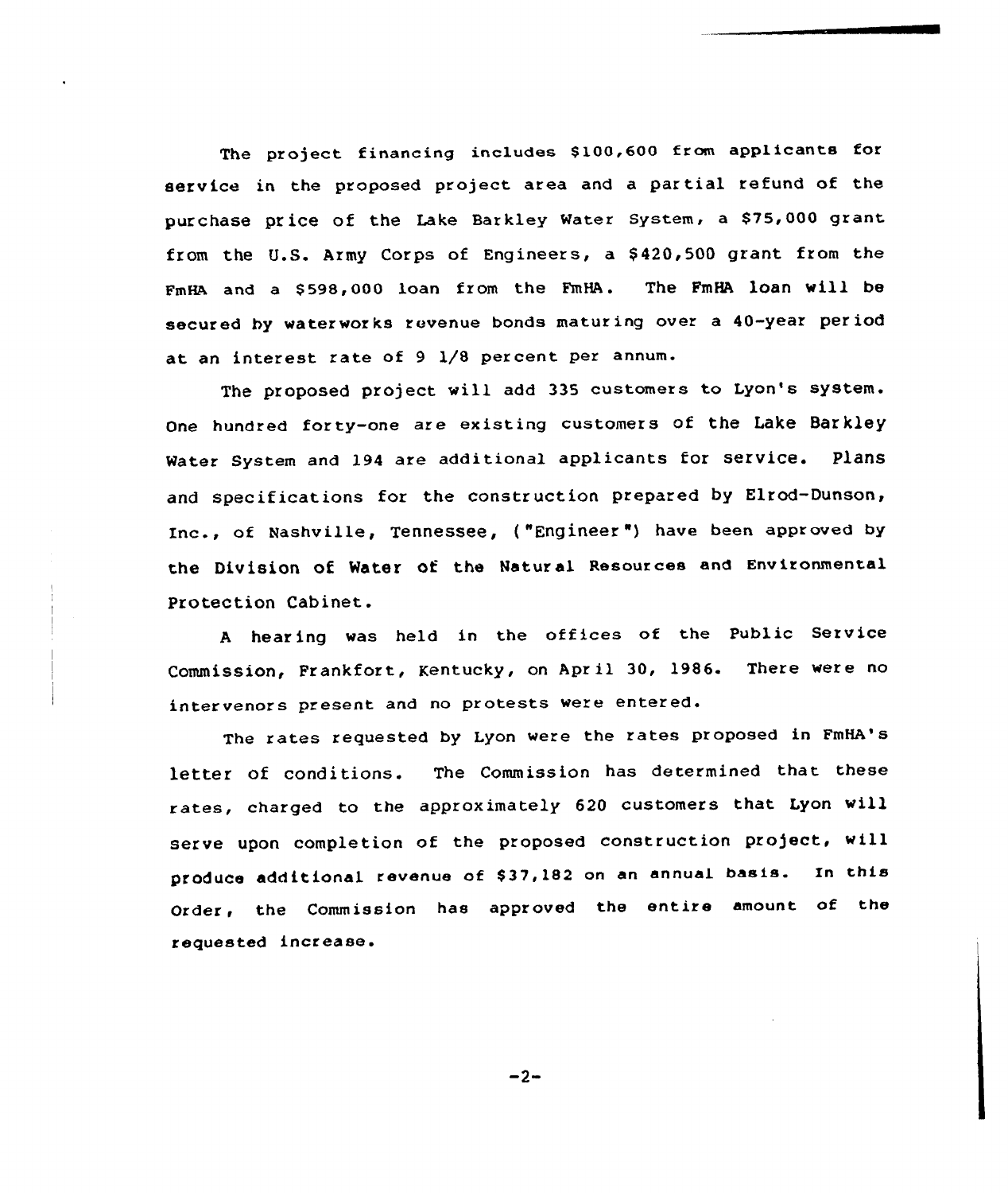The project financing includes S100,600 from applicants for service in the proposed project area and a partial refund of the pur chase price of the Lake Barkley Water System, a \$75,000 grant from the U.S. Army Corps of Engineers, a \$ 420,500 grant from the FmHA and a \$598,000 loan from the FmHA. The FmHA loan will be secured by waterworks revenue bonds maturing over a 40-year period at an interest rate of 9 1/8 percent per annum.

The proposed project will add 335 customers to Lyon's system. One hundred forty-one are existing customers of the Lake Barkley Mater system and 194 are additional applicants for service, Plans and specifications for the construction prepared by Elrod-Dunson, Inc., of Nashville, Tennessee, {"Engineer ") have been approved by the Division of Water of the Natur al Resources and Environmental Protection Cabinet.

<sup>A</sup> hear ing was held in the offices of the Public Service Commission, Frankfort, Kentucky, on April 30, 1986. There were no intervenors present and no protests were entered.

The rates requested by Lyon were the rates proposed in FmHA's letter of conditions. The Commission has determined that these rates, charged to the approximately 620 customers that Lyon will serve upon completion of the proposed construction project, will produce additional revenue of \$37,182 on an annual basis. In this Order, the Commission has approved the entire amount of the requested increase.

 $-2-$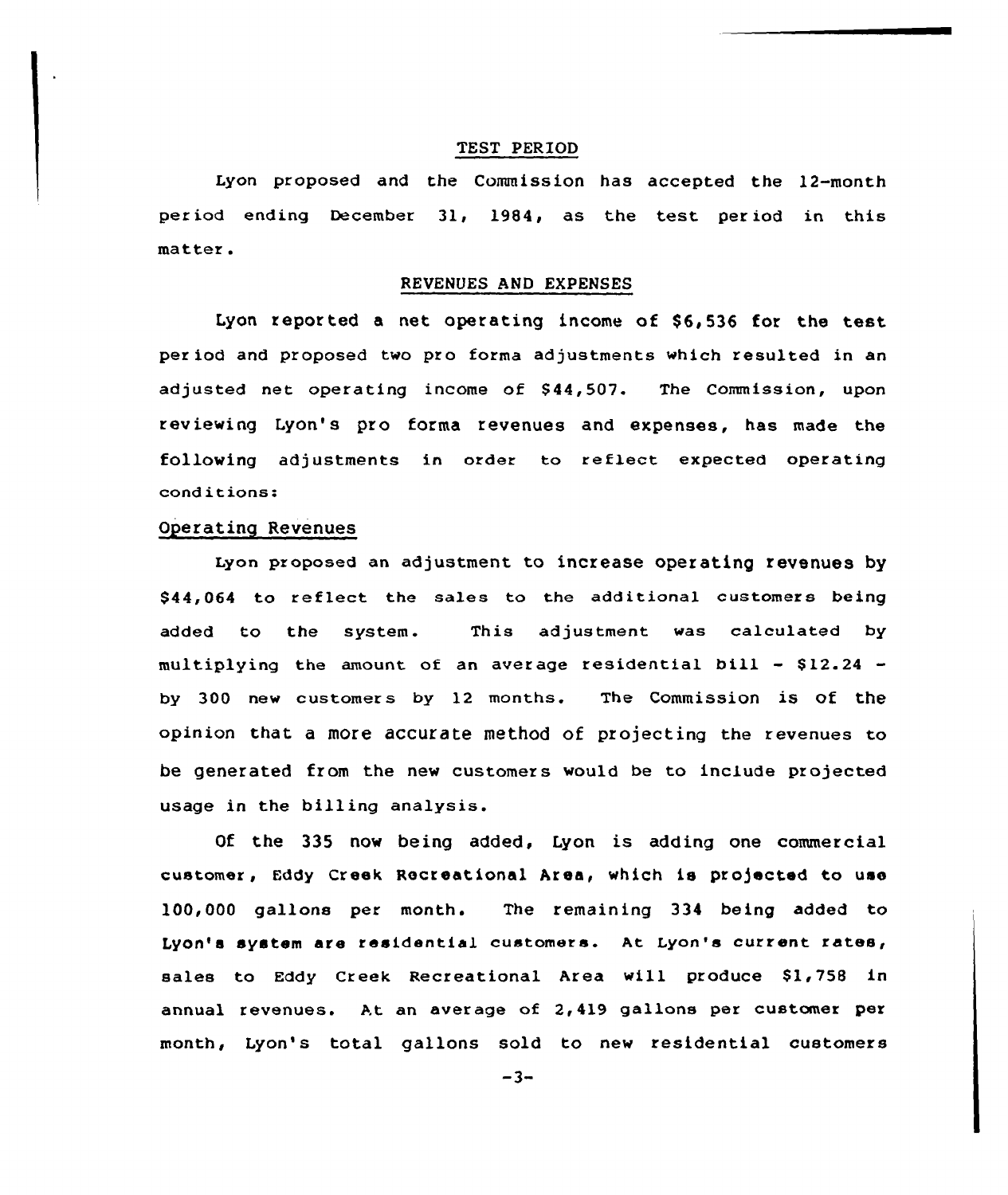#### TEST PERIOD

Lyon proposed and the Commission has accepted the 12-month period ending December 31, 1984, as the test pex iod in this matter.

#### REVENUES AND EXPENSES

Lyon reported a net operating income of \$6,536 for the test per iod and proposed two pro forma adjustments which resulted in an adjusted net operating income of \$ 44,507. The Commission, upon reviewing Lyon's pro forma revenues and expenses, has made the following adjustments in order to reflect expected operating conditions:

# Ogerating Revenues

Lyon proposed an adjustment to increase operating revenues by \$44,064 to reflect the sales to the additional customers being added to the system. This adjustment was calculated by multiplying the amount of an average residential bill  $-$  \$12.24  $$ by 300 new customers by 12 months. The Commission is of the opinion that a more accurate method of projecting the revenues to be generated from the new customers would be to include projected usage in the billing analysis.

Qf the 335 now being added, Lyon is adding one commercial customer, Eddy Creek Recreational Area, which is projected to use 100,000 gallons per month. The remaining 334 being added to Lyon's system are residential customers. At Lyon's current rates, sales to Eddy Creek Recreational Area will produce \$1,758 in annual revenues. At an aver age of 2, 419 gallons per customer per month, Lyon's total gallons sold to new residential customers

 $-3-$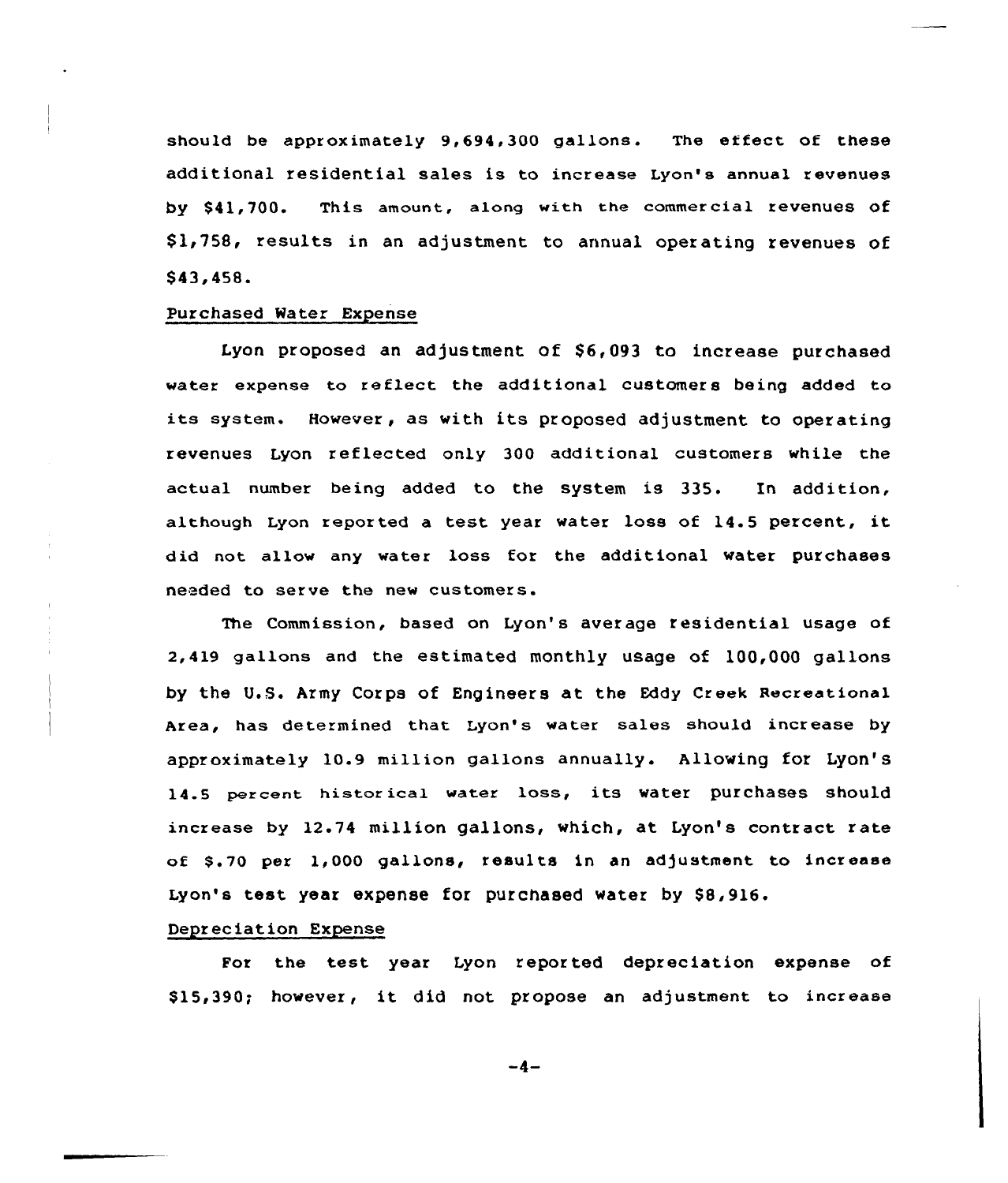should be approximately 9,694,300 gallons. The effect of these additional residential sales is to increase Lyon's annual revenues by \$41,700. This amount, along with the commercial revenues of \$ 1,758, results in an adjustment to annual operating revenues of \$ 43, 458.

### Purchased Water Expense

Lyon proposed an adjustment of  $$6,093$  to increase purchased water expense to reflect the additional customers being added to its system. However, as with its proposed adjustment to operating revenues Lyon reflected only 300 additional customers while the actual number being added to the system is 335. In addition, although Lyon reported a test year water loss of  $14.5$  percent, it did not allow any water loss for the additional water purchases needed to serve the new customers.

The Commission, based on Lyon's average residential usage of 2,419 gallons and the estimated monthly usage of 100,000 gallons by the U.S. Army Corps of Engineers at the Eddy Creek Recreational Area, has determined that Lyon's water sales should increase by approximately 10.9 million gallons annually. Allowing for Lyon'S 14.5 percent historical water loss, its water purchases should increase by 12.74 million gallons, which, at Lyon's contract rate of \$.70 per 1,000 gallons, results in an adjustment to increase Lyon's test year expense for purchased water by \$8,916.

### Depreciation Expense

For the test year Lyon reported depreciation expense of S15,390; however, it did not propose an adjustment to increase

 $-4-$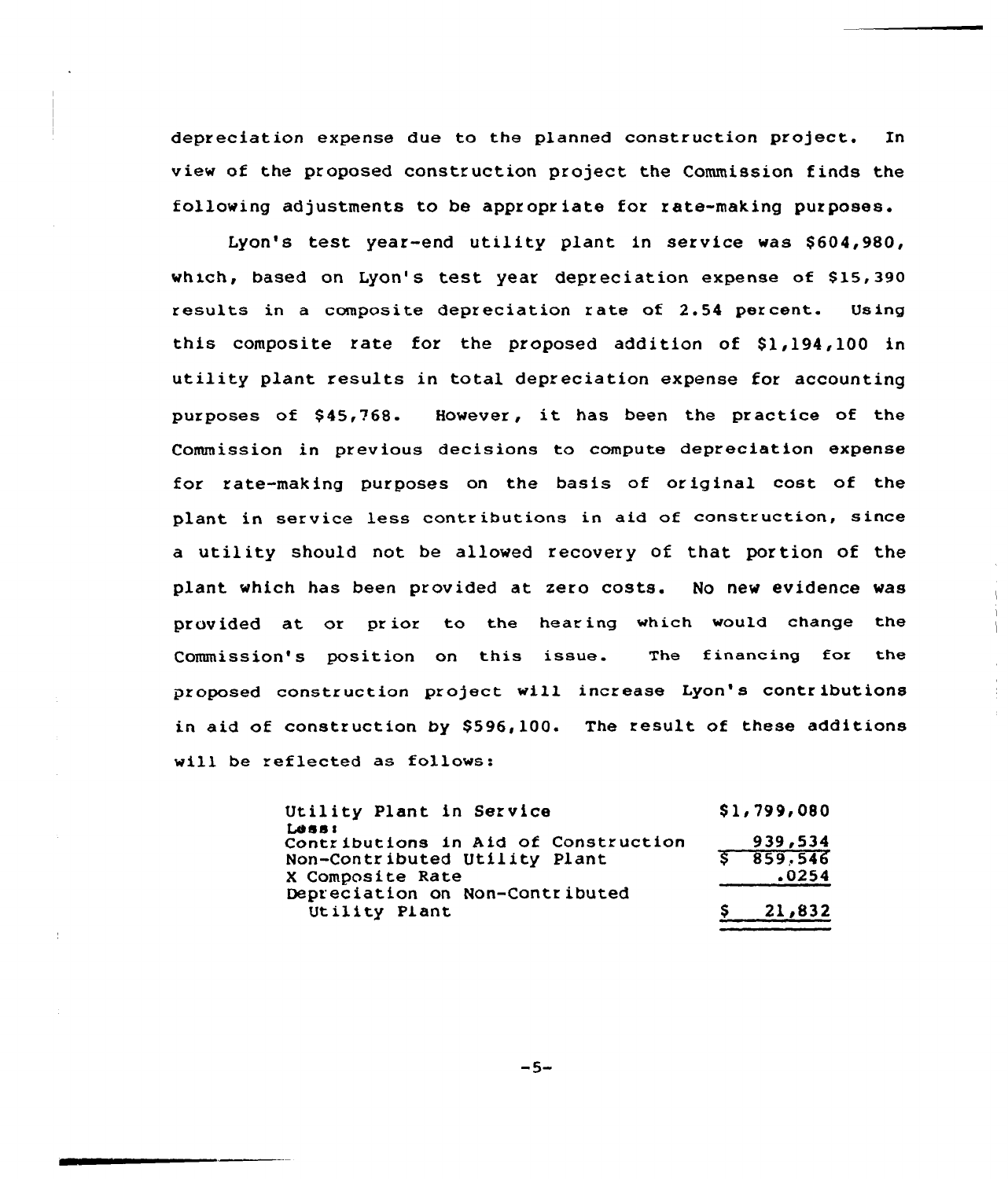depreciation expense due to the planned construction project. In view of the proposed construction project the Commission finde the following adjustments to be appropriate for rate-making purposes.

Lyon's test year-end utility plant in service was \$604,980, which, based on Lyon's test year depreciation expense of \$15,390 results in a composite depreciation rate of 2.54 pex cent. Using this composite rate for the proposed addition of \$1,194,100 in utility plant results in total depreciation expense for accounting purposes of \$45,768. However, it has been the practice of the Commission in previous decisions to compute depreciation expense for rate making purposes on the basis of original cost of the plant in service less contributions in aid of construction, since a utility should not be allowed recovery of that por tion of the plant which has been provided at zero costs. No new evidence was provided at or prior to the hearing which would change the Commission's position on this issue. The financing for the proposed construction project will increase Lyon's contributions in aid of construction by \$596,100. The result of these additions will be reflected as follows:

> Utility Plant in Service Less: Contr ibutions in Aid of Construction Non-Contributed Utility Plant <sup>X</sup> Composite Rate Depreciation on Non-Contributed Utility Plant \$1,799,080 939,534 859; 546 .0254 21,832

> > $-5-$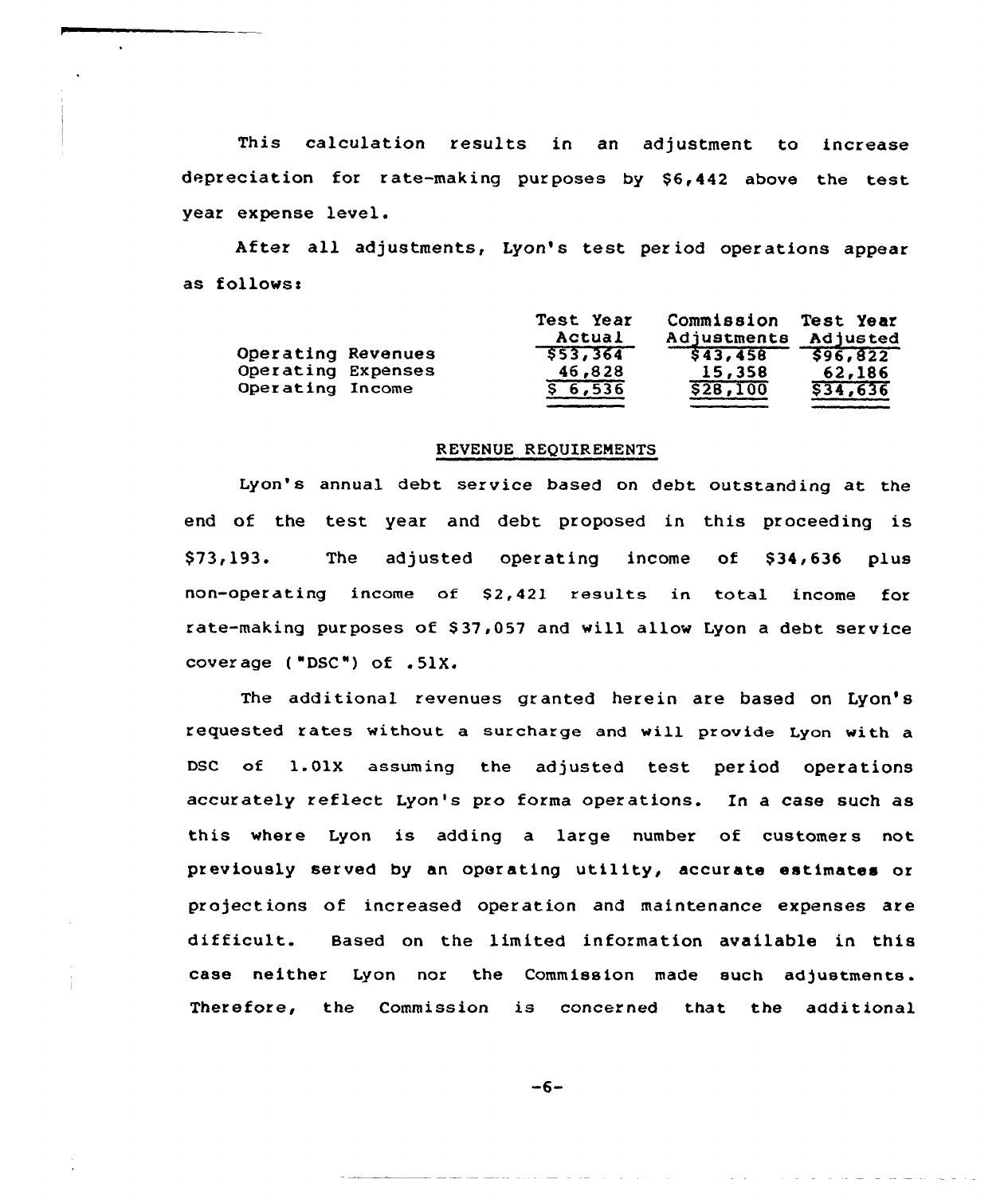This calculation results in an adjustment to increase depreciation for rate-making purposes by \$6,442 above the test year expense level.

After all adjustments, Lyon's test period operations appear as follows:

|                    | Test Year<br>Actual | Commission Test Year<br>Adjustments | Adjusted |
|--------------------|---------------------|-------------------------------------|----------|
| Operating Revenues | \$53,364            | \$43,458                            | \$96,822 |
| Operating Expenses | 46,828              | 15,358                              | 62,186   |
| Operating Income   | 56,536              | \$28,100                            | \$34,636 |

### REVENUE REQUIRENENTS

Lyon's annual debt service based on debt outstanding at the end of the test year and debt proposed in this proceeding is \$73,193. The adjusted operating income of \$34,636 plus non-operating income of \$2,421 results in total income for rate-making purposes of \$ 37,057 and will allow Lyon a debt service cover age ( "DSC") of .51X.

The additional revenues granted herein are based on Lyon's requested rates without a surcharge and will provide Lyon with a DSC of 1.01X assuming the adjusted test period operations accurately reflect Lyon's pro forma operations. In a case such as this where Lyon is adding a large number of customers not previously served by an operating utility, accurate estimates or projections of increased operation and maintenance expenses are difficult. Based on the limited information available in this case neither Lyon nor the Commission made such adjustments. Therefore, the Commission is concerned that the additional

 $-6-$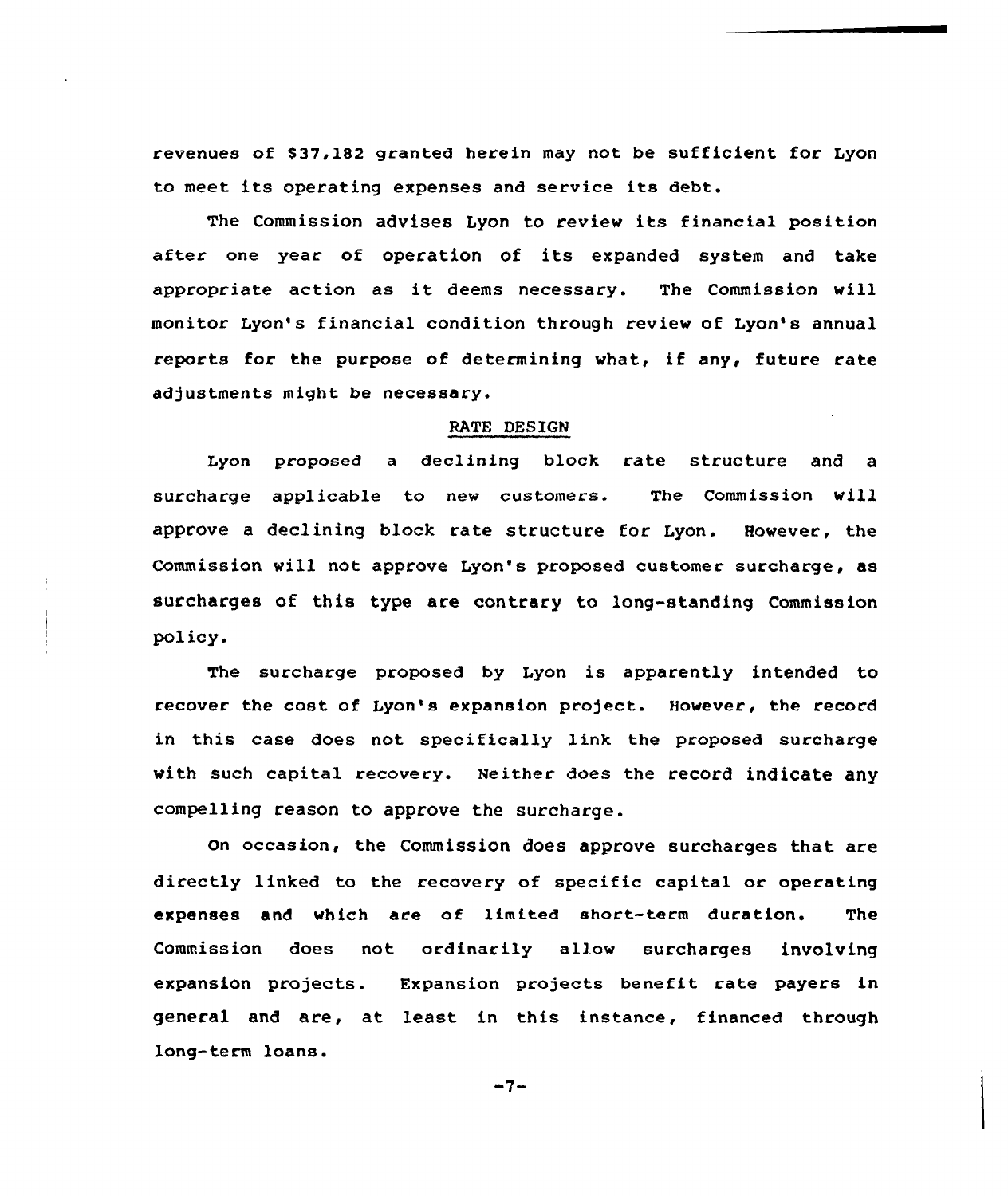revenues of \$37,182 granted herein may not be sufficient for Lyon to meet its operating expenses and service its debt.

The Commission advises Lyon to reviev its financial position after one year of operation of its expanded system and take appropriate action as it deems necessary. The Commission will monitor Lyon's financial condition through review of Lyon's annual reports for the purpose of determininq what, if any, future rate adjustments might be necessary.

# RATE DESIGN

Lyon proposed a declining block rate structure and a surcharge applicable to new customers. The Commission vill approve a declining block rate structure for Lyon. However, the Commission vill not approve Lyon's proposed customer surcharge, as surcharges of this type are contrary to long-standing Commission policy.

The surcharge proposed by Lyon is apparently intended to recover the cost of Lyon's expansion project. Hovever, the record in this ease does not specifically link the proposed surcharge vith such capital recovery. Neither does the record indicate any compelling reason to approve the surcharge.

on occasion, the Commission does approve surcharges that are directly linked to the recovery of specific capital or operating expenses and which are of limited short-term duration. The Commission does not ordinarily allow surcharges involving expansion projects. Expansion projects benefit rate payers in general and are, at least in this instance, financed through long-term loans.

 $-7-$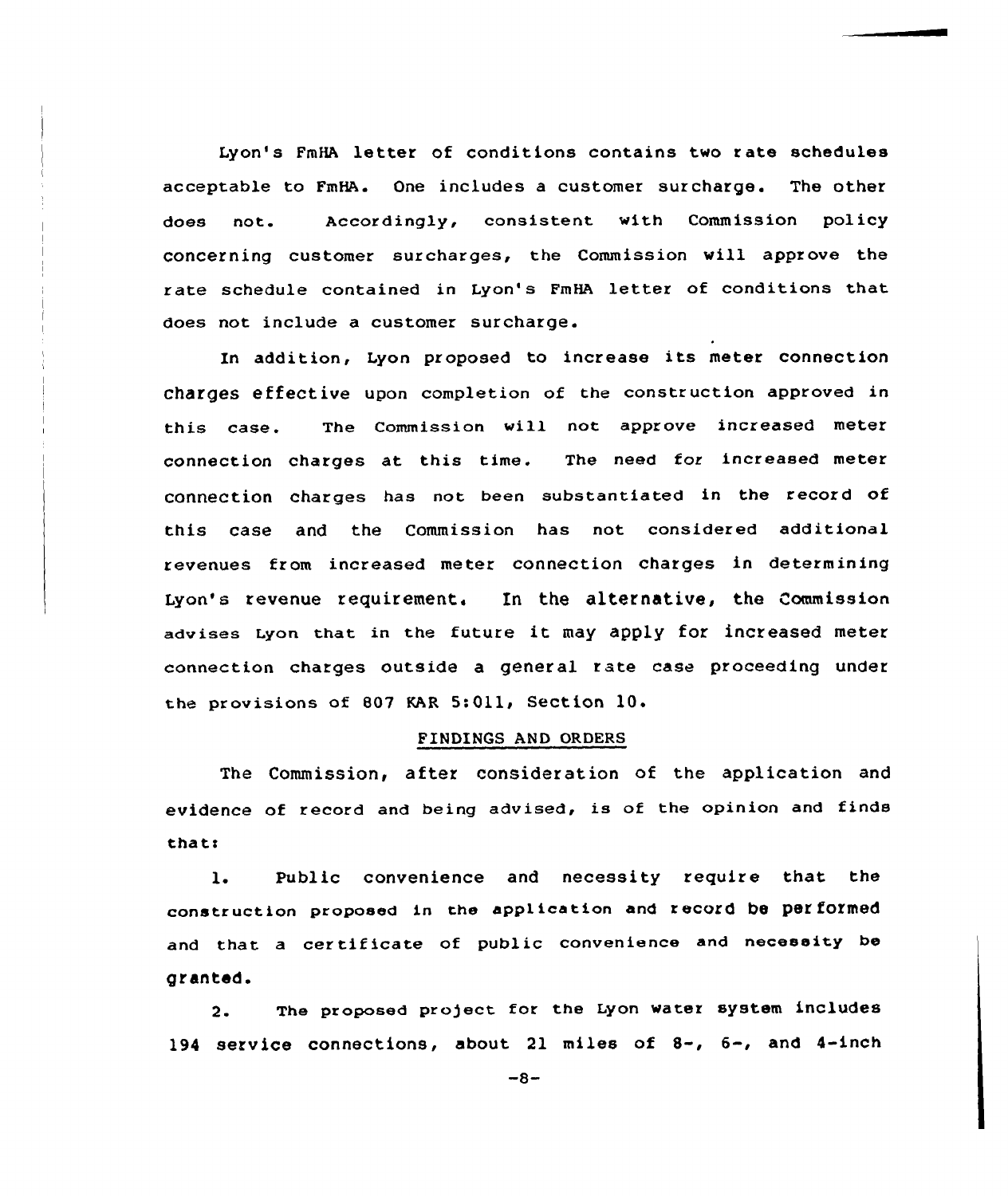Lyon's FmHA letter of conditions contains two rate schedules acceptable to FmHA. One includes a customer surcharge. The other does not. Accordingly, consistent with Commission policy concerning customer surcharges, the Commission will approve the rate schedule contained in Lyon's FmHA letter of conditions that does not include a customer surcharge.

In addition, Lyon proposed to increase its meter connection charges effective upon completion of the construction approved in this case. The Commission will not approve increased meter connection charges at this time. The need for increased meter connection charges has not been substantiated in the record of this case and the commission has not considered additional revenues from increased meter connection charges in determining Iyon's revenue requirement, In the alternative, the Commission advises Lyon that in the future it may apply for increased meter connection charges outside a general rate case proceeding under the provisions of 807 KAR 5:011, Section 10.

#### FINDINGS AND ORDERS

The Commission, after consideration of the application and evidence of record and being advised, is of the opinion and finds thats

1. Public convenience and necessity require that the construction proposed in the application and record be performed and that <sup>a</sup> certificate of public convenience and necessity be granted.

2. The proposed profect for the Lyon water system inCludes 194 service connections, about <sup>21</sup> miles of 8-, 6-, and 4-inch

 $-8-$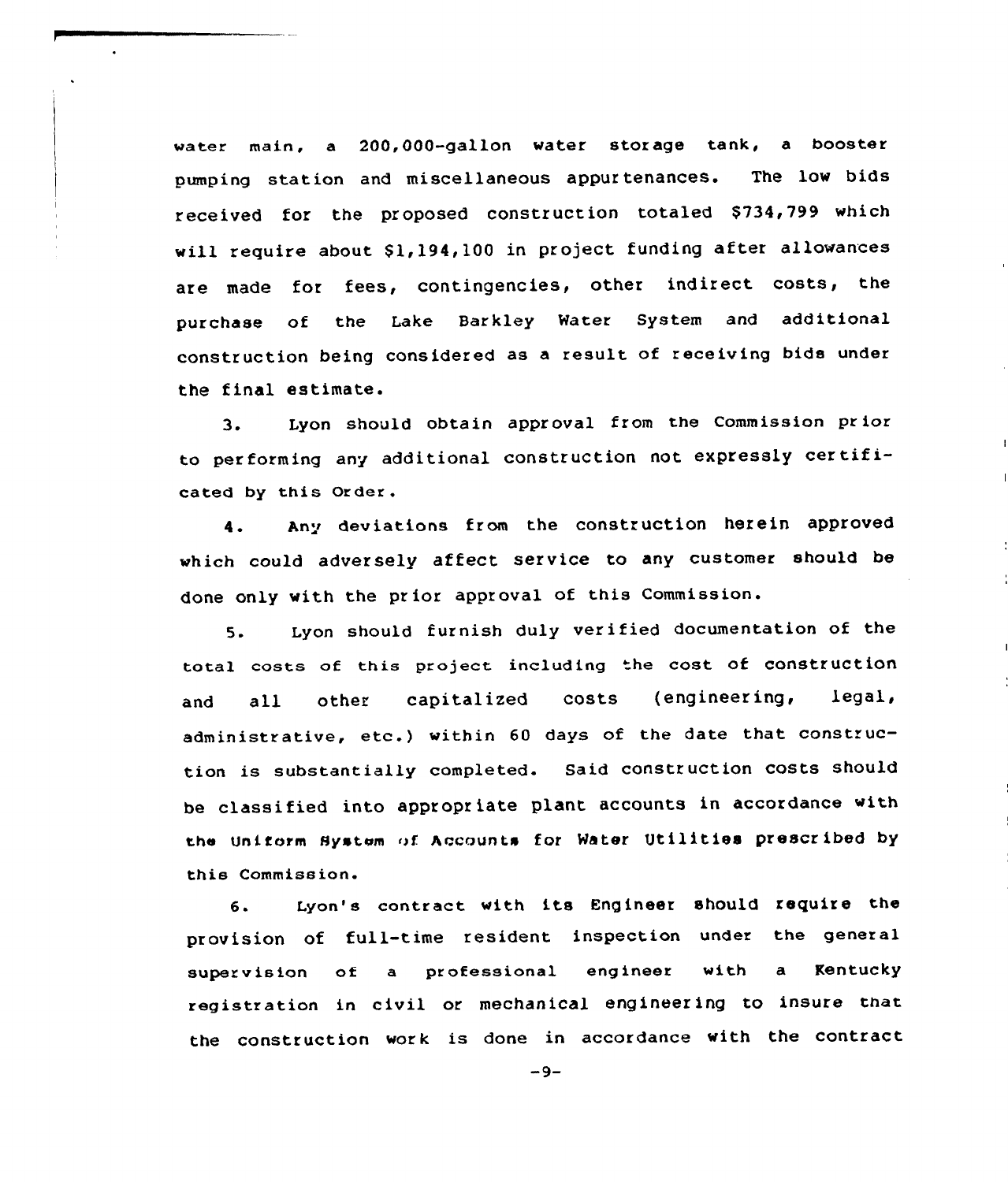water main, a 200,000-gallon water storage tank, a booster pumping station and miscellaneous appur tenances. The low bids received for the proposed construction totaled \$734,799 which will require about \$1,194,100 in project funding after allowances are made for fees, contingencies, other indirect costs, the purchase of the Lake Barkley Water System and additional construction being considered as <sup>a</sup> result of receiving bids under the final estimate.

3. Lyon should obtain approval from the Commission pr ior to performing any additional construction not expressly certificated by this Order.

4. Any deviations from the construction herein approved which could adversely affect service to any customer should be done only with the prior approval of this Commission.

5. Lyon should furnish duly verified documentation of the total costs of this project including the cost of construction and all other capitalized costs (engineering, legal, administrative, etc.) within <sup>60</sup> days of the date that construction is substantially completed. Said construction costs should be classified into appropriate plant accounts in accordance with the Unitorm System of. Accounts for Water Utilities prescribed by this Commiss ion.

6. Lyon's contract with its Engineer should require the provision of full-time resident inspection under the general supervision of a professional engineer with a Kentucky registration in civil or mechanical engineering to insure that the construction work is done in accordance with the contract

 $-9-$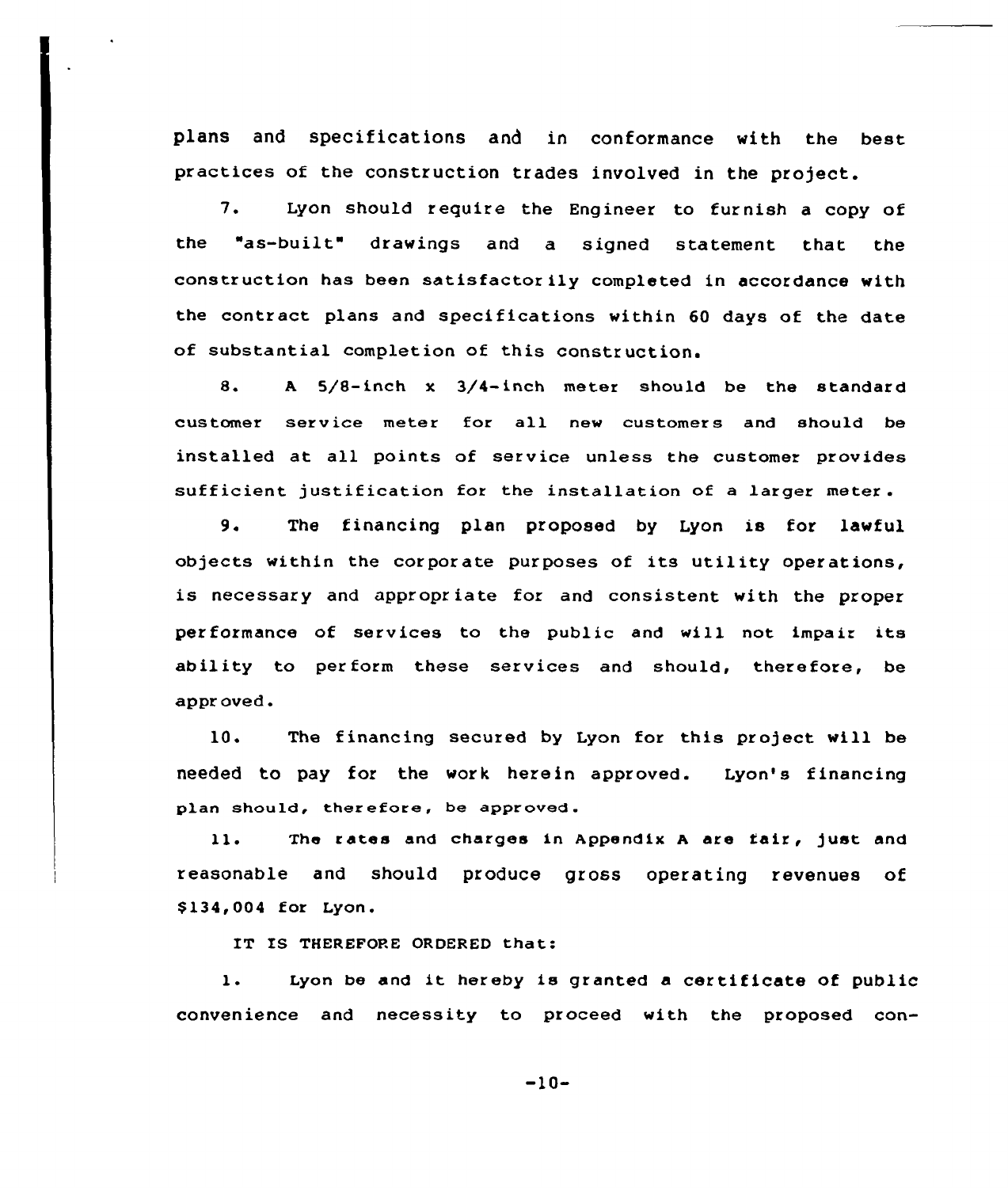plans and specifications and in conformance with the best practices of the construction trades involved in the project.

7. Lyon should require the Engineer to furnish <sup>a</sup> copy of the "as-built" drawings and <sup>a</sup> signed statement that the construction has been satisfactor ily completed in accordance with the contract plans and specifications within 60 days of the date of substantial completion of this construction.

8. <sup>A</sup> 5/8-inch x 3/4-inch meter should be the standard customer service meter for all new customers and should be installed at all points of service unless the customer provides sufficient justification for the installation of a larger meter.

9. The financing plan proposed by Lyon is for lawful objects within the corporate purposes of its utility operations, is necessary and appropriate for and consistent with the proper performance of services to the public and will not impair its ability to perform these services and should, therefore, be appr oved.

10. The financing secured by Lyon for this project will be needed to pay for the work herein approved. Lyon's financing plan should, therefore, be approved.

The rates and charges in Appendix <sup>A</sup> are fair, just and 11. reasonable and should produce gross operating revenues of \$134,004 for Lyon.

IT IS THEREFORE ORDERED that:

1. Lyon be and it hereby is granted <sup>a</sup> certificate of public convenience and necessity to proceed with the proposed con-

 $-10-$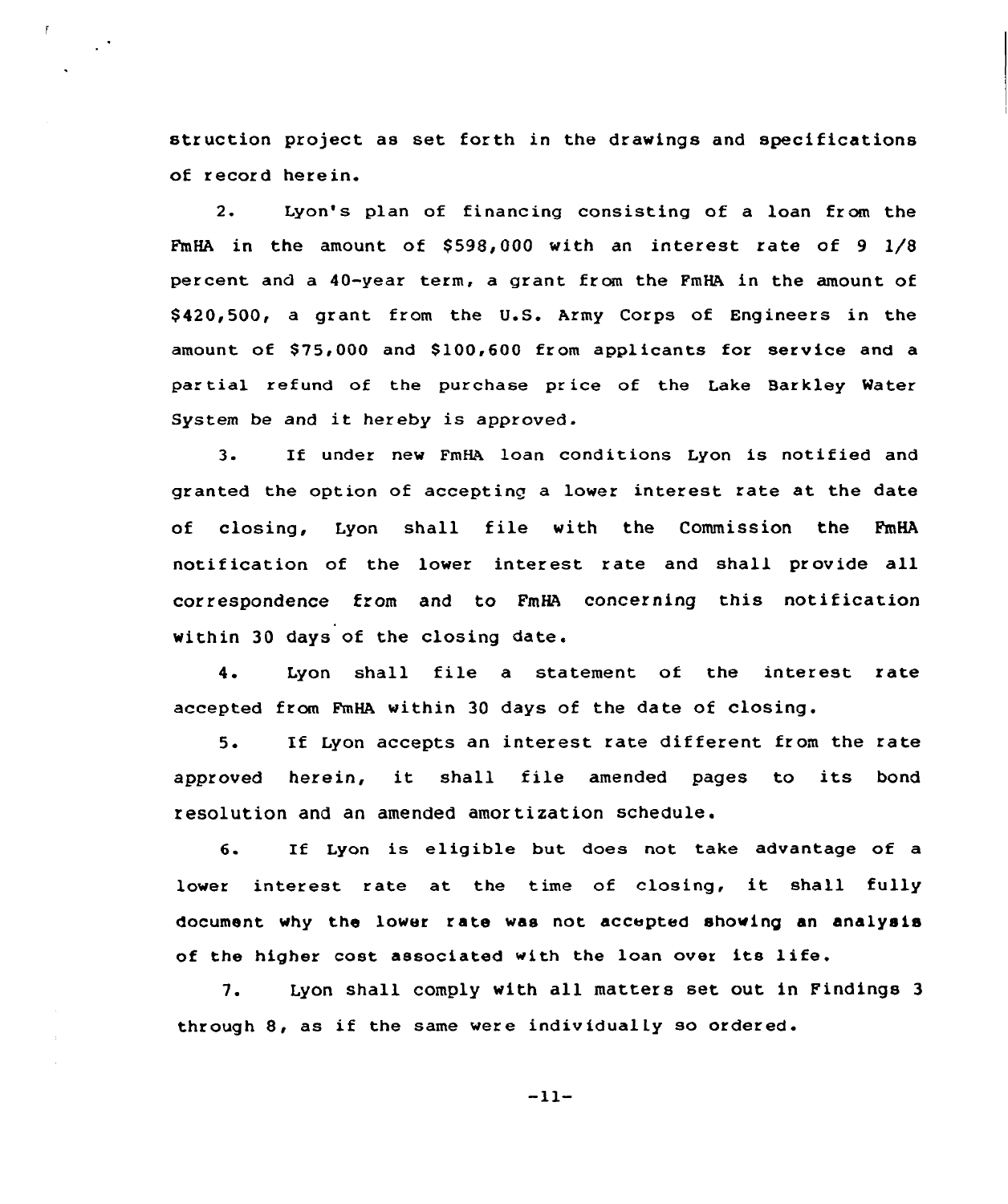struction project as set forth in the drawings and specifications of record herein.

2. Lyon's plan of financing consisting of a loan from the FmHA in the amount of  $$598.000$  with an interest rate of 9  $1/8$ percent and a 40-year term, a grant from the FmHA in the amount of \$ 420,500, a grant from the U.S. Army Corps of Engineers in the amount of  $$75,000$  and  $$100,600$  from applicants for service and a partial refund of the purchase price of the Lake Barkley Water System be and it hereby is approved.

3. If under nev FmHA loan conditions Lyon is notified and granted the option of accepting a lover interest rate at the date of closing, Lyon shall file with the Commission the FmHA notification of the lover interest rate and shall provide all correspondence from and to FmHA concerning this notification within 30 days of the closing date.

4. Lyon shall file a statement of the interest rate accepted from FmHA within 30 days of the date of closing.

5. If Lyon accepts an interest rate different from the rate approved herein, it shall file amended pages to its bond resolution and an amended amortization schedule.

6. If Lyon is eligible but does not take advantage of a lower interest rate at the time of closing, it shall fully document why the lower rate was not accepted shoving an analysis of the higher cost associated with the loan over its life.

7. Lyon shall comply with all matters set out in Findings <sup>3</sup> through 8, as if the same were individually so ordered.

 $-11-$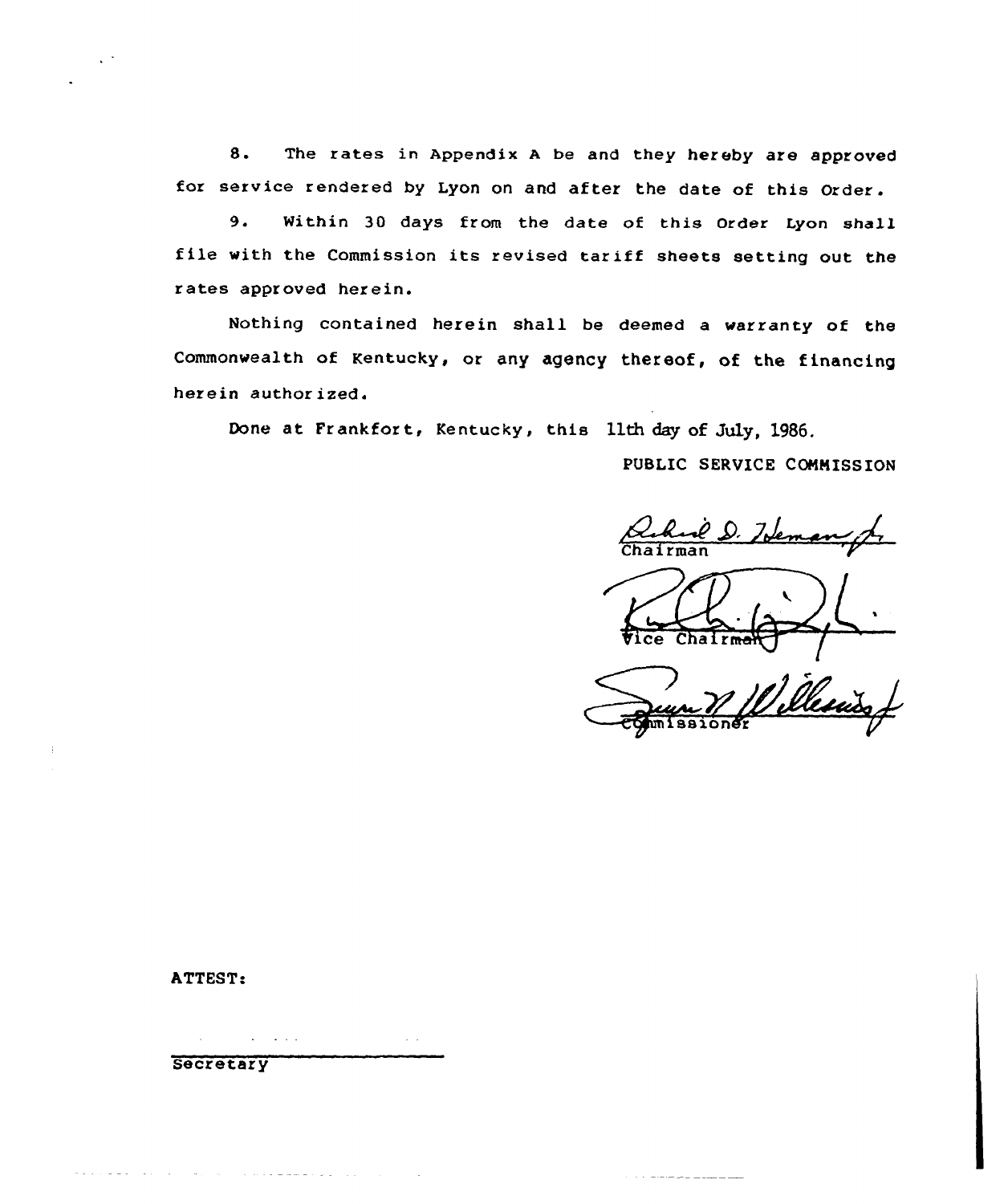8. The rates in Appendix <sup>A</sup> be and they hereby are approved for service rendered by Lyon on and after the date of this Order.

9. Within 3Q days from the date of this Order lyon shall file with the Commission its revised tar iff sheets setting out the rates approved herein.

Nothing contained herein shall be deemed a warranty of the Commonwealth of Kentucky, or any agency thereof, of the financing herein authorized.

Done at Frankfort, Kentucky, this 11th day of July, 1986.

PUBLIC SERVICE COMNISS ION

Hem Chairman

 $\left(\frac{1}{\sqrt{1-\frac{1}{n}}}\right)$ 

and a market and the

# ATTEST:

 $\Delta\phi$  and  $\Delta\phi$  and  $\Delta\phi$  $\sim 100$ 

 $\sim 10$ 

**Secretary** 

المرادي والمتوسط والمستقل والمتحدث والمتحدث والمتواطئ والمتحدث